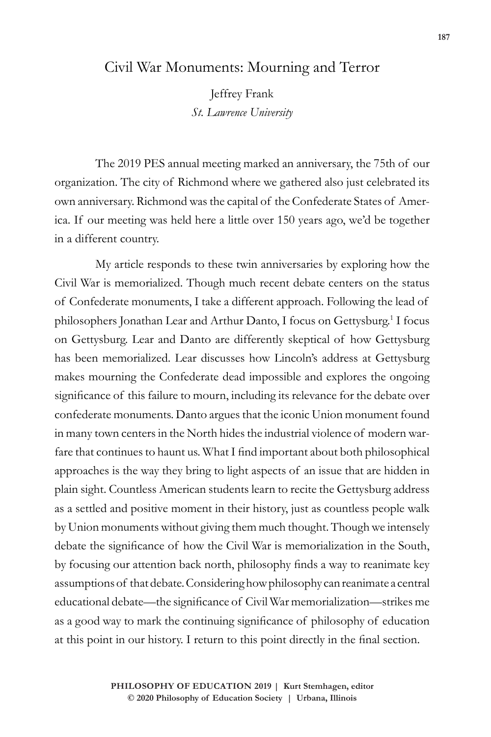## Civil War Monuments: Mourning and Terror

Jeffrey Frank *St. Lawrence University*

The 2019 PES annual meeting marked an anniversary, the 75th of our organization. The city of Richmond where we gathered also just celebrated its own anniversary. Richmond was the capital of the Confederate States of America. If our meeting was held here a little over 150 years ago, we'd be together in a different country.

My article responds to these twin anniversaries by exploring how the Civil War is memorialized. Though much recent debate centers on the status of Confederate monuments, I take a different approach. Following the lead of philosophers Jonathan Lear and Arthur Danto, I focus on Gettysburg.<sup>1</sup> I focus on Gettysburg. Lear and Danto are differently skeptical of how Gettysburg has been memorialized. Lear discusses how Lincoln's address at Gettysburg makes mourning the Confederate dead impossible and explores the ongoing significance of this failure to mourn, including its relevance for the debate over confederate monuments. Danto argues that the iconic Union monument found in many town centers in the North hides the industrial violence of modern warfare that continues to haunt us. What I find important about both philosophical approaches is the way they bring to light aspects of an issue that are hidden in plain sight. Countless American students learn to recite the Gettysburg address as a settled and positive moment in their history, just as countless people walk by Union monuments without giving them much thought. Though we intensely debate the significance of how the Civil War is memorialization in the South, by focusing our attention back north, philosophy finds a way to reanimate key assumptions of that debate. Considering how philosophy can reanimate a central educational debate—the significance of Civil War memorialization—strikes me as a good way to mark the continuing significance of philosophy of education at this point in our history. I return to this point directly in the final section.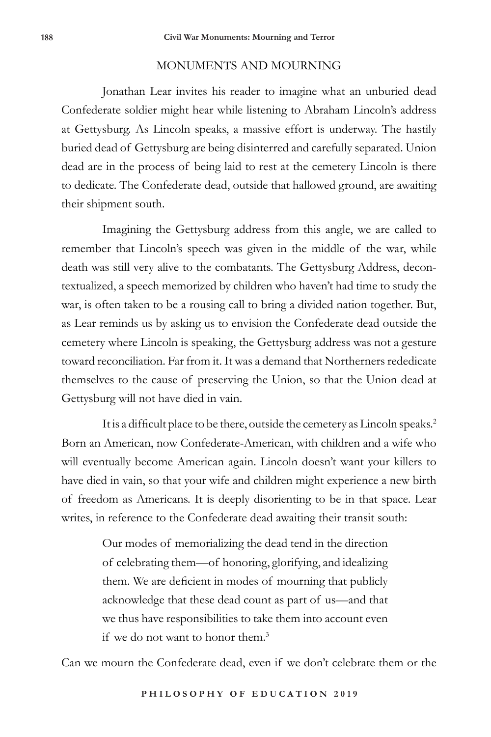## MONUMENTS AND MOURNING

Jonathan Lear invites his reader to imagine what an unburied dead Confederate soldier might hear while listening to Abraham Lincoln's address at Gettysburg. As Lincoln speaks, a massive effort is underway. The hastily buried dead of Gettysburg are being disinterred and carefully separated. Union dead are in the process of being laid to rest at the cemetery Lincoln is there to dedicate. The Confederate dead, outside that hallowed ground, are awaiting their shipment south.

Imagining the Gettysburg address from this angle, we are called to remember that Lincoln's speech was given in the middle of the war, while death was still very alive to the combatants. The Gettysburg Address, decontextualized, a speech memorized by children who haven't had time to study the war, is often taken to be a rousing call to bring a divided nation together. But, as Lear reminds us by asking us to envision the Confederate dead outside the cemetery where Lincoln is speaking, the Gettysburg address was not a gesture toward reconciliation. Far from it. It was a demand that Northerners rededicate themselves to the cause of preserving the Union, so that the Union dead at Gettysburg will not have died in vain.

It is a difficult place to be there, outside the cemetery as Lincoln speaks.<sup>2</sup> Born an American, now Confederate-American, with children and a wife who will eventually become American again. Lincoln doesn't want your killers to have died in vain, so that your wife and children might experience a new birth of freedom as Americans. It is deeply disorienting to be in that space. Lear writes, in reference to the Confederate dead awaiting their transit south:

> Our modes of memorializing the dead tend in the direction of celebrating them—of honoring, glorifying, and idealizing them. We are deficient in modes of mourning that publicly acknowledge that these dead count as part of us—and that we thus have responsibilities to take them into account even if we do not want to honor them.<sup>3</sup>

Can we mourn the Confederate dead, even if we don't celebrate them or the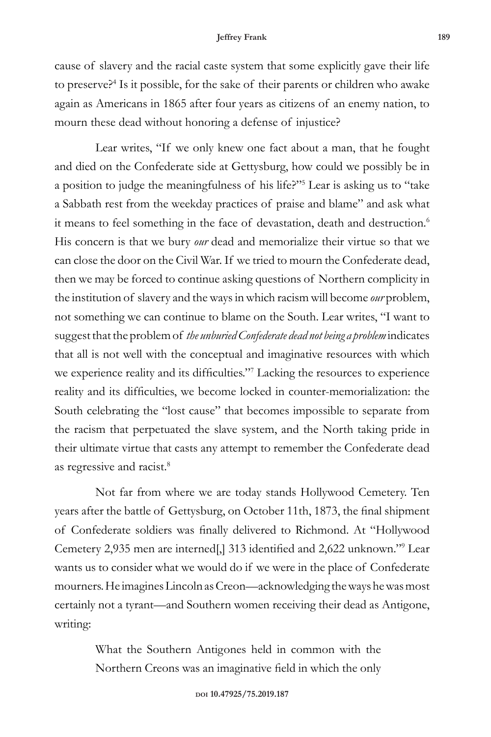cause of slavery and the racial caste system that some explicitly gave their life to preserve?4 Is it possible, for the sake of their parents or children who awake again as Americans in 1865 after four years as citizens of an enemy nation, to mourn these dead without honoring a defense of injustice?

Lear writes, "If we only knew one fact about a man, that he fought and died on the Confederate side at Gettysburg, how could we possibly be in a position to judge the meaningfulness of his life?"5 Lear is asking us to "take a Sabbath rest from the weekday practices of praise and blame" and ask what it means to feel something in the face of devastation, death and destruction.<sup>6</sup> His concern is that we bury *our* dead and memorialize their virtue so that we can close the door on the Civil War. If we tried to mourn the Confederate dead, then we may be forced to continue asking questions of Northern complicity in the institution of slavery and the ways in which racism will become *our* problem, not something we can continue to blame on the South. Lear writes, "I want to suggest that the problem of *the unburied Confederate dead not being a problem* indicates that all is not well with the conceptual and imaginative resources with which we experience reality and its difficulties."<sup>7</sup> Lacking the resources to experience reality and its difficulties, we become locked in counter-memorialization: the South celebrating the "lost cause" that becomes impossible to separate from the racism that perpetuated the slave system, and the North taking pride in their ultimate virtue that casts any attempt to remember the Confederate dead as regressive and racist.8

Not far from where we are today stands Hollywood Cemetery. Ten years after the battle of Gettysburg, on October 11th, 1873, the final shipment of Confederate soldiers was finally delivered to Richmond. At "Hollywood Cemetery 2,935 men are interned[,] 313 identified and 2,622 unknown."<sup>9</sup> Lear wants us to consider what we would do if we were in the place of Confederate mourners. He imagines Lincoln as Creon—acknowledging the ways he was most certainly not a tyrant—and Southern women receiving their dead as Antigone, writing:

> What the Southern Antigones held in common with the Northern Creons was an imaginative field in which the only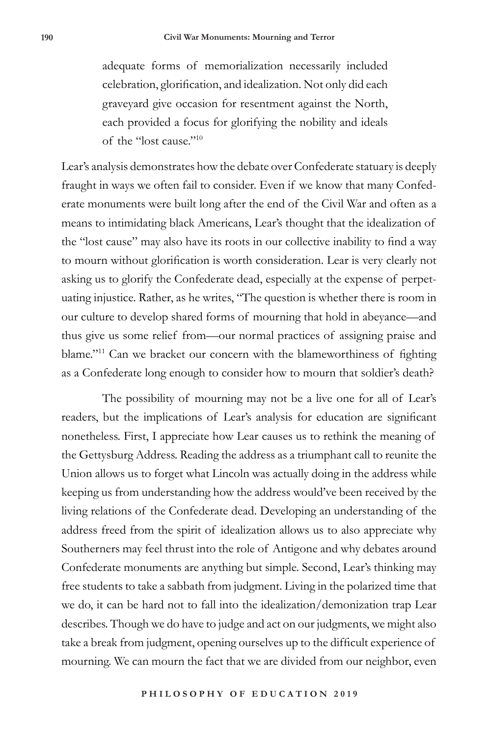adequate forms of memorialization necessarily included celebration, glorification, and idealization. Not only did each graveyard give occasion for resentment against the North, each provided a focus for glorifying the nobility and ideals of the "lost cause."10

Lear's analysis demonstrates how the debate over Confederate statuary is deeply fraught in ways we often fail to consider. Even if we know that many Confederate monuments were built long after the end of the Civil War and often as a means to intimidating black Americans, Lear's thought that the idealization of the "lost cause" may also have its roots in our collective inability to find a way to mourn without glorification is worth consideration. Lear is very clearly not asking us to glorify the Confederate dead, especially at the expense of perpetuating injustice. Rather, as he writes, "The question is whether there is room in our culture to develop shared forms of mourning that hold in abeyance—and thus give us some relief from—our normal practices of assigning praise and blame."11 Can we bracket our concern with the blameworthiness of fighting as a Confederate long enough to consider how to mourn that soldier's death?

The possibility of mourning may not be a live one for all of Lear's readers, but the implications of Lear's analysis for education are significant nonetheless. First, I appreciate how Lear causes us to rethink the meaning of the Gettysburg Address. Reading the address as a triumphant call to reunite the Union allows us to forget what Lincoln was actually doing in the address while keeping us from understanding how the address would've been received by the living relations of the Confederate dead. Developing an understanding of the address freed from the spirit of idealization allows us to also appreciate why Southerners may feel thrust into the role of Antigone and why debates around Confederate monuments are anything but simple. Second, Lear's thinking may free students to take a sabbath from judgment. Living in the polarized time that we do, it can be hard not to fall into the idealization/demonization trap Lear describes. Though we do have to judge and act on our judgments, we might also take a break from judgment, opening ourselves up to the difficult experience of mourning. We can mourn the fact that we are divided from our neighbor, even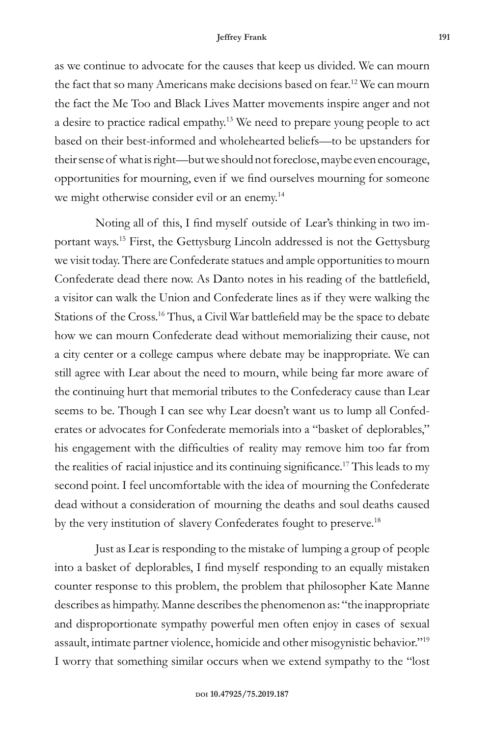as we continue to advocate for the causes that keep us divided. We can mourn the fact that so many Americans make decisions based on fear.<sup>12</sup> We can mourn the fact the Me Too and Black Lives Matter movements inspire anger and not a desire to practice radical empathy.13 We need to prepare young people to act based on their best-informed and wholehearted beliefs—to be upstanders for their sense of what is right—but we should not foreclose, maybe even encourage, opportunities for mourning, even if we find ourselves mourning for someone we might otherwise consider evil or an enemy.<sup>14</sup>

Noting all of this, I find myself outside of Lear's thinking in two important ways.15 First, the Gettysburg Lincoln addressed is not the Gettysburg we visit today. There are Confederate statues and ample opportunities to mourn Confederate dead there now. As Danto notes in his reading of the battlefield, a visitor can walk the Union and Confederate lines as if they were walking the Stations of the Cross.<sup>16</sup> Thus, a Civil War battlefield may be the space to debate how we can mourn Confederate dead without memorializing their cause, not a city center or a college campus where debate may be inappropriate. We can still agree with Lear about the need to mourn, while being far more aware of the continuing hurt that memorial tributes to the Confederacy cause than Lear seems to be. Though I can see why Lear doesn't want us to lump all Confederates or advocates for Confederate memorials into a "basket of deplorables," his engagement with the difficulties of reality may remove him too far from the realities of racial injustice and its continuing significance.<sup>17</sup> This leads to my second point. I feel uncomfortable with the idea of mourning the Confederate dead without a consideration of mourning the deaths and soul deaths caused by the very institution of slavery Confederates fought to preserve.<sup>18</sup>

Just as Lear is responding to the mistake of lumping a group of people into a basket of deplorables, I find myself responding to an equally mistaken counter response to this problem, the problem that philosopher Kate Manne describes as himpathy. Manne describes the phenomenon as: "the inappropriate and disproportionate sympathy powerful men often enjoy in cases of sexual assault, intimate partner violence, homicide and other misogynistic behavior."19 I worry that something similar occurs when we extend sympathy to the "lost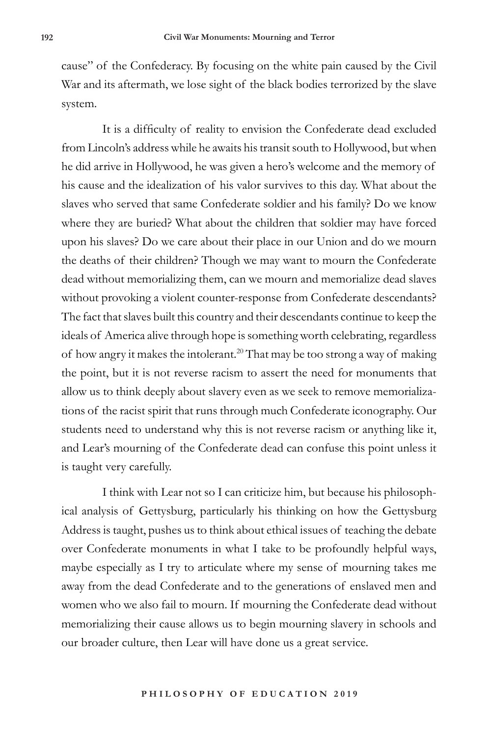cause" of the Confederacy. By focusing on the white pain caused by the Civil War and its aftermath, we lose sight of the black bodies terrorized by the slave system.

It is a difficulty of reality to envision the Confederate dead excluded from Lincoln's address while he awaits his transit south to Hollywood, but when he did arrive in Hollywood, he was given a hero's welcome and the memory of his cause and the idealization of his valor survives to this day. What about the slaves who served that same Confederate soldier and his family? Do we know where they are buried? What about the children that soldier may have forced upon his slaves? Do we care about their place in our Union and do we mourn the deaths of their children? Though we may want to mourn the Confederate dead without memorializing them, can we mourn and memorialize dead slaves without provoking a violent counter-response from Confederate descendants? The fact that slaves built this country and their descendants continue to keep the ideals of America alive through hope is something worth celebrating, regardless of how angry it makes the intolerant.<sup>20</sup> That may be too strong a way of making the point, but it is not reverse racism to assert the need for monuments that allow us to think deeply about slavery even as we seek to remove memorializations of the racist spirit that runs through much Confederate iconography. Our students need to understand why this is not reverse racism or anything like it, and Lear's mourning of the Confederate dead can confuse this point unless it is taught very carefully.

I think with Lear not so I can criticize him, but because his philosophical analysis of Gettysburg, particularly his thinking on how the Gettysburg Address is taught, pushes us to think about ethical issues of teaching the debate over Confederate monuments in what I take to be profoundly helpful ways, maybe especially as I try to articulate where my sense of mourning takes me away from the dead Confederate and to the generations of enslaved men and women who we also fail to mourn. If mourning the Confederate dead without memorializing their cause allows us to begin mourning slavery in schools and our broader culture, then Lear will have done us a great service.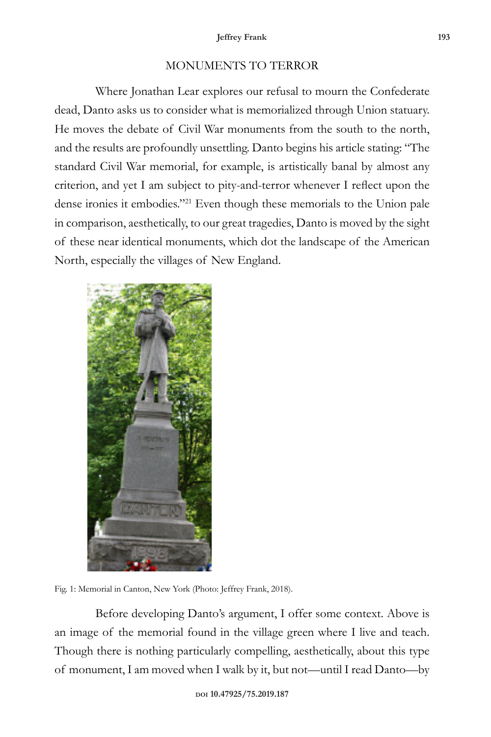## MONUMENTS TO TERROR

Where Jonathan Lear explores our refusal to mourn the Confederate dead, Danto asks us to consider what is memorialized through Union statuary. He moves the debate of Civil War monuments from the south to the north, and the results are profoundly unsettling. Danto begins his article stating: "The standard Civil War memorial, for example, is artistically banal by almost any criterion, and yet I am subject to pity-and-terror whenever I reflect upon the dense ironies it embodies."21 Even though these memorials to the Union pale in comparison, aesthetically, to our great tragedies, Danto is moved by the sight of these near identical monuments, which dot the landscape of the American North, especially the villages of New England.



Fig. 1: Memorial in Canton, New York (Photo: Jeffrey Frank, 2018).

Before developing Danto's argument, I offer some context. Above is an image of the memorial found in the village green where I live and teach. Though there is nothing particularly compelling, aesthetically, about this type of monument, I am moved when I walk by it, but not—until I read Danto—by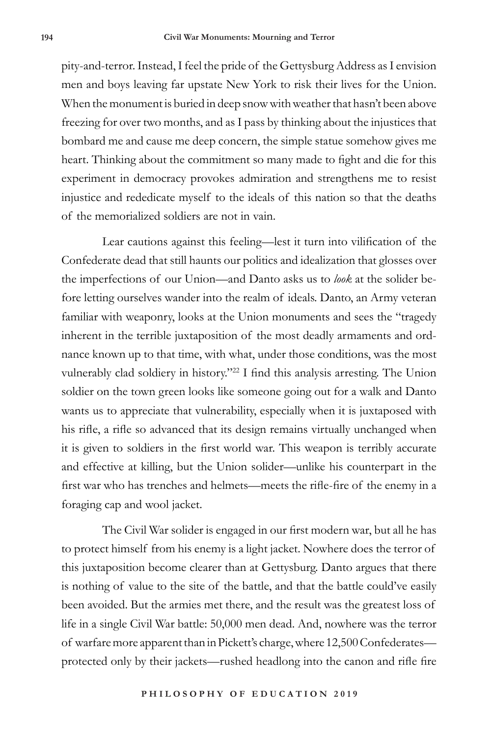pity-and-terror. Instead, I feel the pride of the Gettysburg Address as I envision men and boys leaving far upstate New York to risk their lives for the Union. When the monument is buried in deep snow with weather that hasn't been above freezing for over two months, and as I pass by thinking about the injustices that bombard me and cause me deep concern, the simple statue somehow gives me heart. Thinking about the commitment so many made to fight and die for this experiment in democracy provokes admiration and strengthens me to resist injustice and rededicate myself to the ideals of this nation so that the deaths of the memorialized soldiers are not in vain.

Lear cautions against this feeling—lest it turn into vilification of the Confederate dead that still haunts our politics and idealization that glosses over the imperfections of our Union—and Danto asks us to *look* at the solider before letting ourselves wander into the realm of ideals. Danto, an Army veteran familiar with weaponry, looks at the Union monuments and sees the "tragedy inherent in the terrible juxtaposition of the most deadly armaments and ordnance known up to that time, with what, under those conditions, was the most vulnerably clad soldiery in history."<sup>22</sup> I find this analysis arresting. The Union soldier on the town green looks like someone going out for a walk and Danto wants us to appreciate that vulnerability, especially when it is juxtaposed with his rifle, a rifle so advanced that its design remains virtually unchanged when it is given to soldiers in the first world war. This weapon is terribly accurate and effective at killing, but the Union solider—unlike his counterpart in the first war who has trenches and helmets—meets the rifle-fire of the enemy in a foraging cap and wool jacket.

The Civil War solider is engaged in our first modern war, but all he has to protect himself from his enemy is a light jacket. Nowhere does the terror of this juxtaposition become clearer than at Gettysburg. Danto argues that there is nothing of value to the site of the battle, and that the battle could've easily been avoided. But the armies met there, and the result was the greatest loss of life in a single Civil War battle: 50,000 men dead. And, nowhere was the terror of warfare more apparent than in Pickett's charge, where 12,500 Confederates protected only by their jackets—rushed headlong into the canon and rifle fire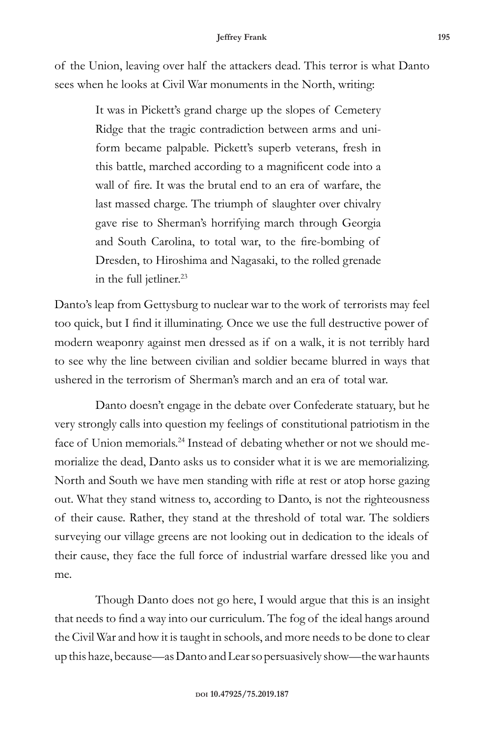of the Union, leaving over half the attackers dead. This terror is what Danto sees when he looks at Civil War monuments in the North, writing:

> It was in Pickett's grand charge up the slopes of Cemetery Ridge that the tragic contradiction between arms and uniform became palpable. Pickett's superb veterans, fresh in this battle, marched according to a magnificent code into a wall of fire. It was the brutal end to an era of warfare, the last massed charge. The triumph of slaughter over chivalry gave rise to Sherman's horrifying march through Georgia and South Carolina, to total war, to the fire-bombing of Dresden, to Hiroshima and Nagasaki, to the rolled grenade in the full jetliner.<sup>23</sup>

Danto's leap from Gettysburg to nuclear war to the work of terrorists may feel too quick, but I find it illuminating. Once we use the full destructive power of modern weaponry against men dressed as if on a walk, it is not terribly hard to see why the line between civilian and soldier became blurred in ways that ushered in the terrorism of Sherman's march and an era of total war.

Danto doesn't engage in the debate over Confederate statuary, but he very strongly calls into question my feelings of constitutional patriotism in the face of Union memorials.<sup>24</sup> Instead of debating whether or not we should memorialize the dead, Danto asks us to consider what it is we are memorializing. North and South we have men standing with rifle at rest or atop horse gazing out. What they stand witness to, according to Danto, is not the righteousness of their cause. Rather, they stand at the threshold of total war. The soldiers surveying our village greens are not looking out in dedication to the ideals of their cause, they face the full force of industrial warfare dressed like you and me.

Though Danto does not go here, I would argue that this is an insight that needs to find a way into our curriculum. The fog of the ideal hangs around the Civil War and how it is taught in schools, and more needs to be done to clear up this haze, because—as Danto and Lear so persuasively show—the war haunts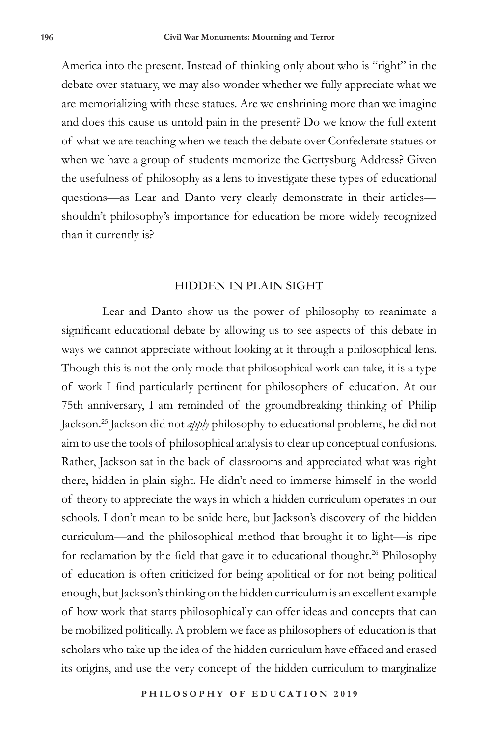America into the present. Instead of thinking only about who is "right" in the debate over statuary, we may also wonder whether we fully appreciate what we are memorializing with these statues. Are we enshrining more than we imagine and does this cause us untold pain in the present? Do we know the full extent of what we are teaching when we teach the debate over Confederate statues or when we have a group of students memorize the Gettysburg Address? Given the usefulness of philosophy as a lens to investigate these types of educational questions—as Lear and Danto very clearly demonstrate in their articles shouldn't philosophy's importance for education be more widely recognized than it currently is?

## HIDDEN IN PLAIN SIGHT

Lear and Danto show us the power of philosophy to reanimate a significant educational debate by allowing us to see aspects of this debate in ways we cannot appreciate without looking at it through a philosophical lens. Though this is not the only mode that philosophical work can take, it is a type of work I find particularly pertinent for philosophers of education. At our 75th anniversary, I am reminded of the groundbreaking thinking of Philip Jackson.25 Jackson did not *apply* philosophy to educational problems, he did not aim to use the tools of philosophical analysis to clear up conceptual confusions. Rather, Jackson sat in the back of classrooms and appreciated what was right there, hidden in plain sight. He didn't need to immerse himself in the world of theory to appreciate the ways in which a hidden curriculum operates in our schools. I don't mean to be snide here, but Jackson's discovery of the hidden curriculum—and the philosophical method that brought it to light—is ripe for reclamation by the field that gave it to educational thought.<sup>26</sup> Philosophy of education is often criticized for being apolitical or for not being political enough, but Jackson's thinking on the hidden curriculum is an excellent example of how work that starts philosophically can offer ideas and concepts that can be mobilized politically. A problem we face as philosophers of education is that scholars who take up the idea of the hidden curriculum have effaced and erased its origins, and use the very concept of the hidden curriculum to marginalize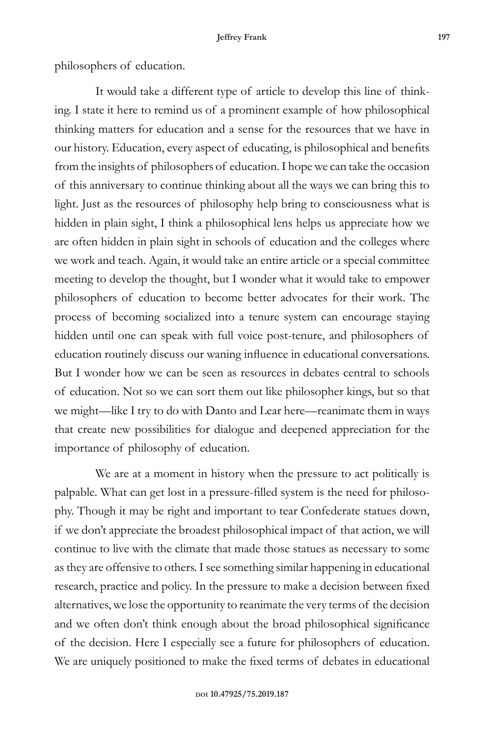philosophers of education.

It would take a different type of article to develop this line of thinking. I state it here to remind us of a prominent example of how philosophical thinking matters for education and a sense for the resources that we have in our history. Education, every aspect of educating, is philosophical and benefits from the insights of philosophers of education. I hope we can take the occasion of this anniversary to continue thinking about all the ways we can bring this to light. Just as the resources of philosophy help bring to consciousness what is hidden in plain sight, I think a philosophical lens helps us appreciate how we are often hidden in plain sight in schools of education and the colleges where we work and teach. Again, it would take an entire article or a special committee meeting to develop the thought, but I wonder what it would take to empower philosophers of education to become better advocates for their work. The process of becoming socialized into a tenure system can encourage staying hidden until one can speak with full voice post-tenure, and philosophers of education routinely discuss our waning influence in educational conversations. But I wonder how we can be seen as resources in debates central to schools of education. Not so we can sort them out like philosopher kings, but so that we might—like I try to do with Danto and Lear here—reanimate them in ways that create new possibilities for dialogue and deepened appreciation for the importance of philosophy of education.

We are at a moment in history when the pressure to act politically is palpable. What can get lost in a pressure-filled system is the need for philosophy. Though it may be right and important to tear Confederate statues down, if we don't appreciate the broadest philosophical impact of that action, we will continue to live with the climate that made those statues as necessary to some as they are offensive to others. I see something similar happening in educational research, practice and policy. In the pressure to make a decision between fixed alternatives, we lose the opportunity to reanimate the very terms of the decision and we often don't think enough about the broad philosophical significance of the decision. Here I especially see a future for philosophers of education. We are uniquely positioned to make the fixed terms of debates in educational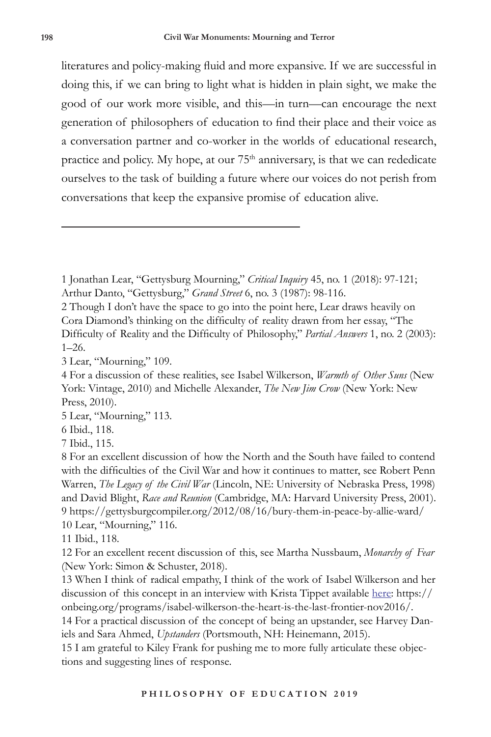literatures and policy-making fluid and more expansive. If we are successful in doing this, if we can bring to light what is hidden in plain sight, we make the good of our work more visible, and this—in turn—can encourage the next generation of philosophers of education to find their place and their voice as a conversation partner and co-worker in the worlds of educational research, practice and policy. My hope, at our 75<sup>th</sup> anniversary, is that we can rededicate ourselves to the task of building a future where our voices do not perish from conversations that keep the expansive promise of education alive.

2 Though I don't have the space to go into the point here, Lear draws heavily on Cora Diamond's thinking on the difficulty of reality drawn from her essay, "The Difficulty of Reality and the Difficulty of Philosophy," *Partial Answers* 1, no. 2 (2003): 1–26.

3 Lear, "Mourning," 109.

5 Lear, "Mourning," 113.

6 Ibid., 118.

7 Ibid., 115.

11 Ibid., 118.

12 For an excellent recent discussion of this, see Martha Nussbaum, *Monarchy of Fear* (New York: Simon & Schuster, 2018).

13 When I think of radical empathy, I think of the work of Isabel Wilkerson and her discussion of this concept in an interview with Krista Tippet available here: https:// onbeing.org/programs/isabel-wilkerson-the-heart-is-the-last-frontier-nov2016/.

14 For a practical discussion of the concept of being an upstander, see Harvey Daniels and Sara Ahmed, *Upstanders* (Portsmouth, NH: Heinemann, 2015).

15 I am grateful to Kiley Frank for pushing me to more fully articulate these objections and suggesting lines of response.

<sup>1</sup> Jonathan Lear, "Gettysburg Mourning," *Critical Inquiry* 45, no. 1 (2018): 97-121; Arthur Danto, "Gettysburg," *Grand Street* 6, no. 3 (1987): 98-116.

<sup>4</sup> For a discussion of these realities, see Isabel Wilkerson, *Warmth of Other Suns* (New York: Vintage, 2010) and Michelle Alexander, *The New Jim Crow* (New York: New Press, 2010).

<sup>8</sup> For an excellent discussion of how the North and the South have failed to contend with the difficulties of the Civil War and how it continues to matter, see Robert Penn Warren, *The Legacy of the Civil War* (Lincoln, NE: University of Nebraska Press, 1998) and David Blight, *Race and Reunion* (Cambridge, MA: Harvard University Press, 2001). 9 https://gettysburgcompiler.org/2012/08/16/bury-them-in-peace-by-allie-ward/ 10 Lear, "Mourning," 116.